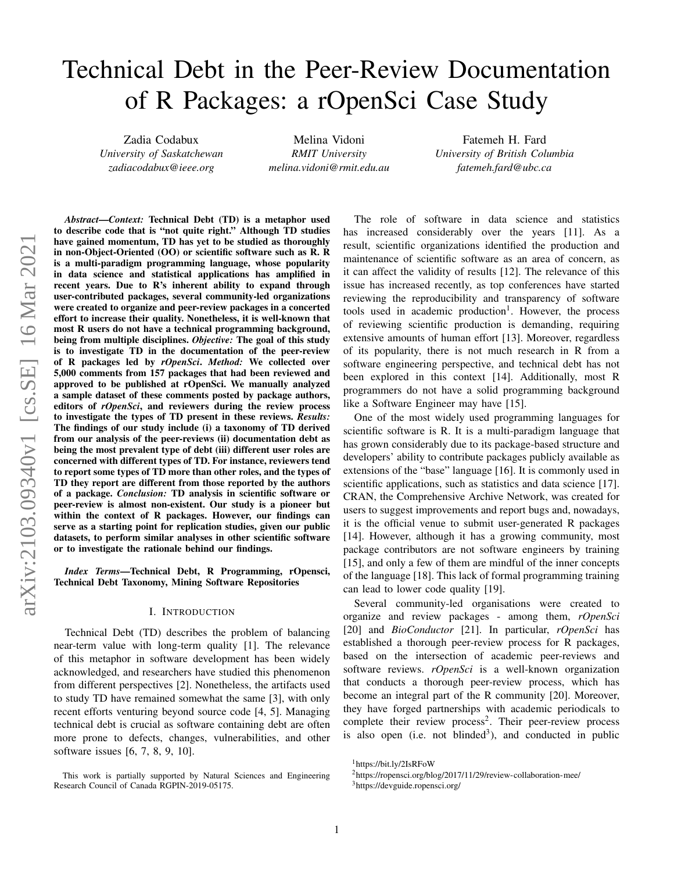# Technical Debt in the Peer-Review Documentation of R Packages: a rOpenSci Case Study

Zadia Codabux *University of Saskatchewan zadiacodabux@ieee.org*

Melina Vidoni *RMIT University melina.vidoni@rmit.edu.au*

Fatemeh H. Fard *University of British Columbia fatemeh.fard@ubc.ca*

*Abstract*—*Context:* Technical Debt (TD) is a metaphor used to describe code that is "not quite right." Although TD studies have gained momentum, TD has yet to be studied as thoroughly in non-Object-Oriented (OO) or scientific software such as R. R is a multi-paradigm programming language, whose popularity in data science and statistical applications has amplified in recent years. Due to R's inherent ability to expand through user-contributed packages, several community-led organizations were created to organize and peer-review packages in a concerted effort to increase their quality. Nonetheless, it is well-known that most R users do not have a technical programming background, being from multiple disciplines. *Objective:* The goal of this study is to investigate TD in the documentation of the peer-review of R packages led by *rOpenSci*. *Method:* We collected over 5,000 comments from 157 packages that had been reviewed and approved to be published at rOpenSci. We manually analyzed a sample dataset of these comments posted by package authors, editors of *rOpenSci*, and reviewers during the review process to investigate the types of TD present in these reviews. *Results:* The findings of our study include (i) a taxonomy of TD derived from our analysis of the peer-reviews (ii) documentation debt as being the most prevalent type of debt (iii) different user roles are concerned with different types of TD. For instance, reviewers tend to report some types of TD more than other roles, and the types of TD they report are different from those reported by the authors of a package. *Conclusion:* TD analysis in scientific software or peer-review is almost non-existent. Our study is a pioneer but within the context of R packages. However, our findings can serve as a starting point for replication studies, given our public datasets, to perform similar analyses in other scientific software or to investigate the rationale behind our findings.

*Index Terms*—Technical Debt, R Programming, rOpensci, Technical Debt Taxonomy, Mining Software Repositories

#### I. INTRODUCTION

Technical Debt (TD) describes the problem of balancing near-term value with long-term quality [1]. The relevance of this metaphor in software development has been widely acknowledged, and researchers have studied this phenomenon from different perspectives [2]. Nonetheless, the artifacts used to study TD have remained somewhat the same [3], with only recent efforts venturing beyond source code [4, 5]. Managing technical debt is crucial as software containing debt are often more prone to defects, changes, vulnerabilities, and other software issues [6, 7, 8, 9, 10].

The role of software in data science and statistics has increased considerably over the years [11]. As a result, scientific organizations identified the production and maintenance of scientific software as an area of concern, as it can affect the validity of results [12]. The relevance of this issue has increased recently, as top conferences have started reviewing the reproducibility and transparency of software tools used in academic production<sup>1</sup>. However, the process of reviewing scientific production is demanding, requiring extensive amounts of human effort [13]. Moreover, regardless of its popularity, there is not much research in R from a software engineering perspective, and technical debt has not been explored in this context [14]. Additionally, most R programmers do not have a solid programming background like a Software Engineer may have [15].

One of the most widely used programming languages for scientific software is R. It is a multi-paradigm language that has grown considerably due to its package-based structure and developers' ability to contribute packages publicly available as extensions of the "base" language [16]. It is commonly used in scientific applications, such as statistics and data science [17]. CRAN, the Comprehensive Archive Network, was created for users to suggest improvements and report bugs and, nowadays, it is the official venue to submit user-generated R packages [14]. However, although it has a growing community, most package contributors are not software engineers by training [15], and only a few of them are mindful of the inner concepts of the language [18]. This lack of formal programming training can lead to lower code quality [19].

Several community-led organisations were created to organize and review packages - among them, *rOpenSci* [20] and *BioConductor* [21]. In particular, *rOpenSci* has established a thorough peer-review process for R packages, based on the intersection of academic peer-reviews and software reviews. *rOpenSci* is a well-known organization that conducts a thorough peer-review process, which has become an integral part of the R community [20]. Moreover, they have forged partnerships with academic periodicals to complete their review process<sup>2</sup>. Their peer-review process is also open (i.e. not blinded<sup>3</sup>), and conducted in public

This work is partially supported by Natural Sciences and Engineering Research Council of Canada RGPIN-2019-05175.

<sup>1</sup>https://bit.ly/2IsRFoW

<sup>2</sup>https://ropensci.org/blog/2017/11/29/review-collaboration-mee/

<sup>3</sup>https://devguide.ropensci.org/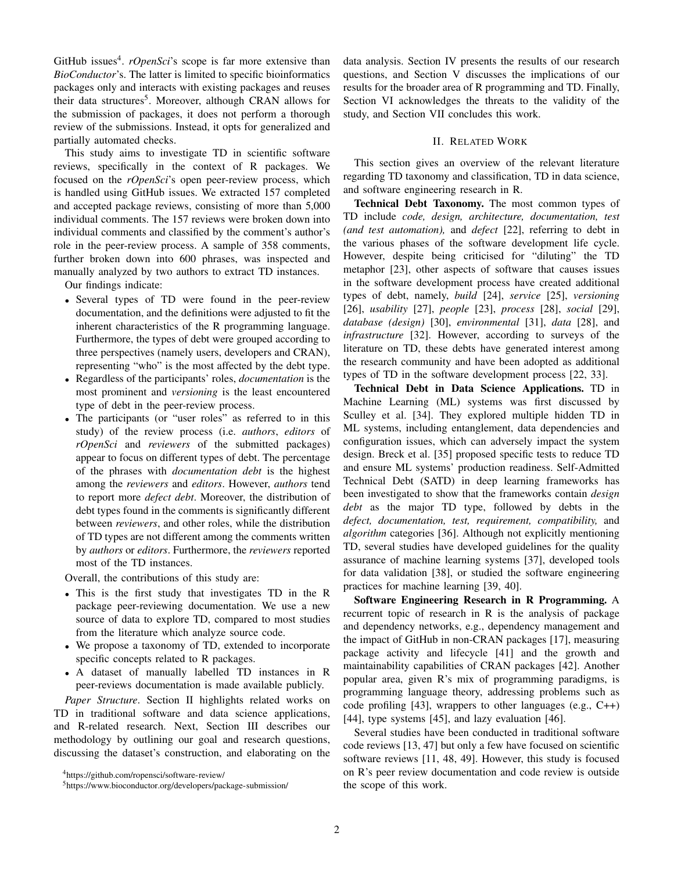GitHub issues<sup>4</sup>. *rOpenSci*'s scope is far more extensive than *BioConductor*'s. The latter is limited to specific bioinformatics packages only and interacts with existing packages and reuses their data structures<sup>5</sup>. Moreover, although CRAN allows for the submission of packages, it does not perform a thorough review of the submissions. Instead, it opts for generalized and partially automated checks.

This study aims to investigate TD in scientific software reviews, specifically in the context of R packages. We focused on the *rOpenSci*'s open peer-review process, which is handled using GitHub issues. We extracted 157 completed and accepted package reviews, consisting of more than 5,000 individual comments. The 157 reviews were broken down into individual comments and classified by the comment's author's role in the peer-review process. A sample of 358 comments, further broken down into 600 phrases, was inspected and manually analyzed by two authors to extract TD instances.

Our findings indicate:

- Several types of TD were found in the peer-review documentation, and the definitions were adjusted to fit the inherent characteristics of the R programming language. Furthermore, the types of debt were grouped according to three perspectives (namely users, developers and CRAN), representing "who" is the most affected by the debt type.
- Regardless of the participants' roles, *documentation* is the most prominent and *versioning* is the least encountered type of debt in the peer-review process.
- The participants (or "user roles" as referred to in this study) of the review process (i.e. *authors*, *editors* of *rOpenSci* and *reviewers* of the submitted packages) appear to focus on different types of debt. The percentage of the phrases with *documentation debt* is the highest among the *reviewers* and *editors*. However, *authors* tend to report more *defect debt*. Moreover, the distribution of debt types found in the comments is significantly different between *reviewers*, and other roles, while the distribution of TD types are not different among the comments written by *authors* or *editors*. Furthermore, the *reviewers* reported most of the TD instances.

Overall, the contributions of this study are:

- This is the first study that investigates TD in the R package peer-reviewing documentation. We use a new source of data to explore TD, compared to most studies from the literature which analyze source code.
- We propose a taxonomy of TD, extended to incorporate specific concepts related to R packages.
- A dataset of manually labelled TD instances in R peer-reviews documentation is made available publicly.

*Paper Structure*. Section II highlights related works on TD in traditional software and data science applications, and R-related research. Next, Section III describes our methodology by outlining our goal and research questions, discussing the dataset's construction, and elaborating on the data analysis. Section IV presents the results of our research questions, and Section V discusses the implications of our results for the broader area of R programming and TD. Finally, Section VI acknowledges the threats to the validity of the study, and Section VII concludes this work.

#### II. RELATED WORK

This section gives an overview of the relevant literature regarding TD taxonomy and classification, TD in data science, and software engineering research in R.

Technical Debt Taxonomy. The most common types of TD include *code, design, architecture, documentation, test (and test automation),* and *defect* [22], referring to debt in the various phases of the software development life cycle. However, despite being criticised for "diluting" the TD metaphor [23], other aspects of software that causes issues in the software development process have created additional types of debt, namely, *build* [24], *service* [25], *versioning* [26], *usability* [27], *people* [23], *process* [28], *social* [29], *database (design)* [30], *environmental* [31], *data* [28], and *infrastructure* [32]. However, according to surveys of the literature on TD, these debts have generated interest among the research community and have been adopted as additional types of TD in the software development process [22, 33].

Technical Debt in Data Science Applications. TD in Machine Learning (ML) systems was first discussed by Sculley et al. [34]. They explored multiple hidden TD in ML systems, including entanglement, data dependencies and configuration issues, which can adversely impact the system design. Breck et al. [35] proposed specific tests to reduce TD and ensure ML systems' production readiness. Self-Admitted Technical Debt (SATD) in deep learning frameworks has been investigated to show that the frameworks contain *design debt* as the major TD type, followed by debts in the *defect, documentation, test, requirement, compatibility,* and *algorithm* categories [36]. Although not explicitly mentioning TD, several studies have developed guidelines for the quality assurance of machine learning systems [37], developed tools for data validation [38], or studied the software engineering practices for machine learning [39, 40].

Software Engineering Research in R Programming. A recurrent topic of research in R is the analysis of package and dependency networks, e.g., dependency management and the impact of GitHub in non-CRAN packages [17], measuring package activity and lifecycle [41] and the growth and maintainability capabilities of CRAN packages [42]. Another popular area, given R's mix of programming paradigms, is programming language theory, addressing problems such as code profiling [43], wrappers to other languages (e.g., C++) [44], type systems [45], and lazy evaluation [46].

Several studies have been conducted in traditional software code reviews [13, 47] but only a few have focused on scientific software reviews [11, 48, 49]. However, this study is focused on R's peer review documentation and code review is outside the scope of this work.

<sup>4</sup>https://github.com/ropensci/software-review/

<sup>5</sup>https://www.bioconductor.org/developers/package-submission/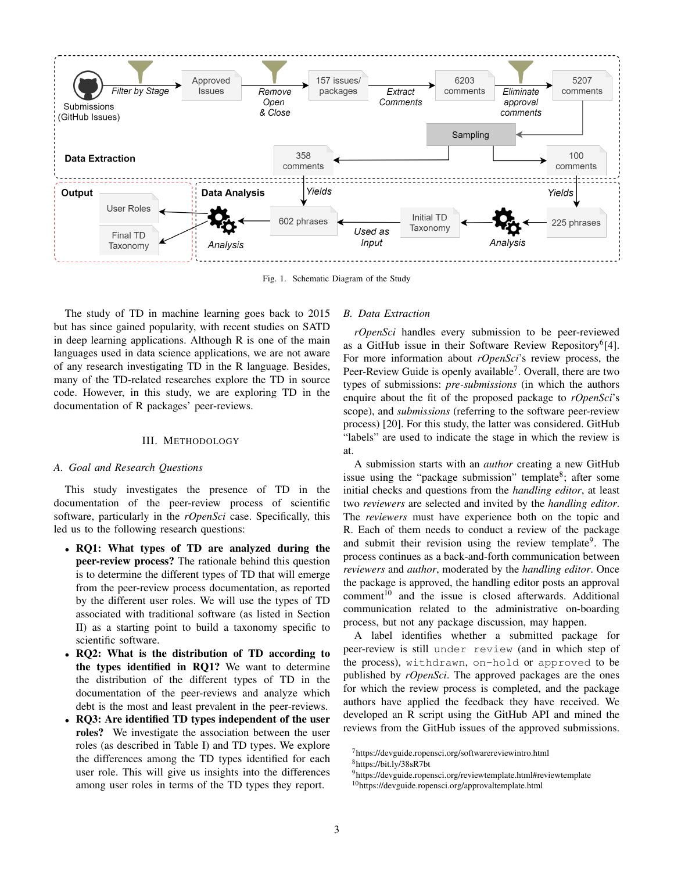

Fig. 1. Schematic Diagram of the Study

The study of TD in machine learning goes back to 2015 but has since gained popularity, with recent studies on SATD in deep learning applications. Although R is one of the main languages used in data science applications, we are not aware of any research investigating TD in the R language. Besides, many of the TD-related researches explore the TD in source code. However, in this study, we are exploring TD in the documentation of R packages' peer-reviews.

#### III. METHODOLOGY

#### *A. Goal and Research Questions*

This study investigates the presence of TD in the documentation of the peer-review process of scientific software, particularly in the *rOpenSci* case. Specifically, this led us to the following research questions:

- RQ1: What types of TD are analyzed during the peer-review process? The rationale behind this question is to determine the different types of TD that will emerge from the peer-review process documentation, as reported by the different user roles. We will use the types of TD associated with traditional software (as listed in Section II) as a starting point to build a taxonomy specific to scientific software.
- RQ2: What is the distribution of TD according to the types identified in RQ1? We want to determine the distribution of the different types of TD in the documentation of the peer-reviews and analyze which debt is the most and least prevalent in the peer-reviews.
- RQ3: Are identified TD types independent of the user roles? We investigate the association between the user roles (as described in Table I) and TD types. We explore the differences among the TD types identified for each user role. This will give us insights into the differences among user roles in terms of the TD types they report.

## *B. Data Extraction*

*rOpenSci* handles every submission to be peer-reviewed as a GitHub issue in their Software Review Repository<sup>6</sup>[4]. For more information about *rOpenSci*'s review process, the Peer-Review Guide is openly available<sup>7</sup>. Overall, there are two types of submissions: *pre-submissions* (in which the authors enquire about the fit of the proposed package to *rOpenSci*'s scope), and *submissions* (referring to the software peer-review process) [20]. For this study, the latter was considered. GitHub "labels" are used to indicate the stage in which the review is at.

A submission starts with an *author* creating a new GitHub issue using the "package submission" template<sup>8</sup>; after some initial checks and questions from the *handling editor*, at least two *reviewers* are selected and invited by the *handling editor*. The *reviewers* must have experience both on the topic and R. Each of them needs to conduct a review of the package and submit their revision using the review template<sup>9</sup>. The process continues as a back-and-forth communication between *reviewers* and *author*, moderated by the *handling editor*. Once the package is approved, the handling editor posts an approval comment<sup>10</sup> and the issue is closed afterwards. Additional communication related to the administrative on-boarding process, but not any package discussion, may happen.

A label identifies whether a submitted package for peer-review is still under review (and in which step of the process), withdrawn, on-hold or approved to be published by *rOpenSci*. The approved packages are the ones for which the review process is completed, and the package authors have applied the feedback they have received. We developed an R script using the GitHub API and mined the reviews from the GitHub issues of the approved submissions.

<sup>7</sup>https://devguide.ropensci.org/softwarereviewintro.html

<sup>8</sup>https://bit.ly/38sR7bt

<sup>&</sup>lt;sup>9</sup>https://devguide.ropensci.org/reviewtemplate.html#reviewtemplate

<sup>&</sup>lt;sup>10</sup>https://devguide.ropensci.org/approvaltemplate.html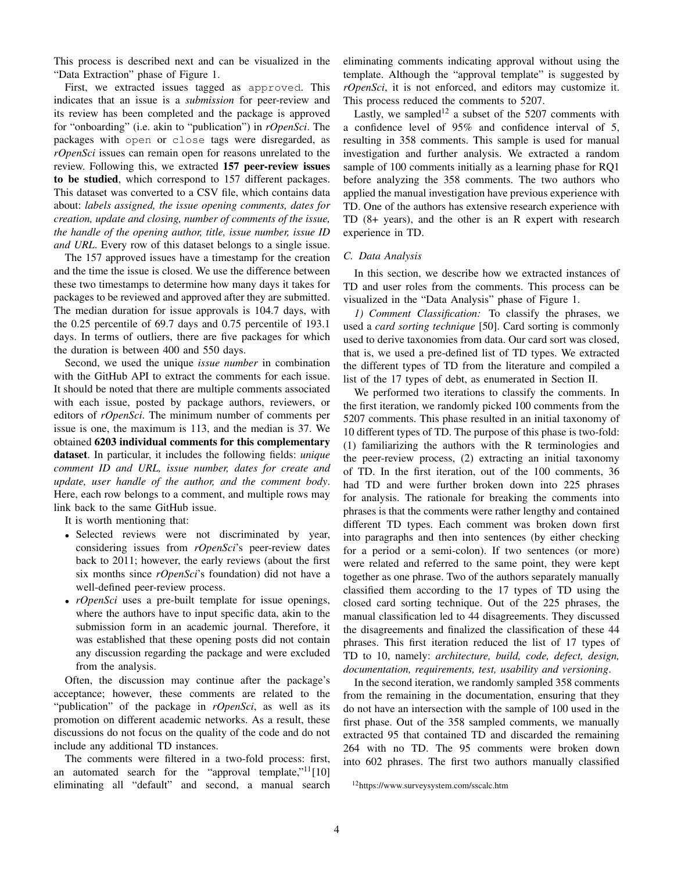This process is described next and can be visualized in the "Data Extraction" phase of Figure 1.

First, we extracted issues tagged as approved. This indicates that an issue is a *submission* for peer-review and its review has been completed and the package is approved for "onboarding" (i.e. akin to "publication") in *rOpenSci*. The packages with open or close tags were disregarded, as *rOpenSci* issues can remain open for reasons unrelated to the review. Following this, we extracted 157 peer-review issues to be studied, which correspond to 157 different packages. This dataset was converted to a CSV file, which contains data about: *labels assigned, the issue opening comments, dates for creation, update and closing, number of comments of the issue, the handle of the opening author, title, issue number, issue ID and URL*. Every row of this dataset belongs to a single issue.

The 157 approved issues have a timestamp for the creation and the time the issue is closed. We use the difference between these two timestamps to determine how many days it takes for packages to be reviewed and approved after they are submitted. The median duration for issue approvals is 104.7 days, with the 0.25 percentile of 69.7 days and 0.75 percentile of 193.1 days. In terms of outliers, there are five packages for which the duration is between 400 and 550 days.

Second, we used the unique *issue number* in combination with the GitHub API to extract the comments for each issue. It should be noted that there are multiple comments associated with each issue, posted by package authors, reviewers, or editors of *rOpenSci*. The minimum number of comments per issue is one, the maximum is 113, and the median is 37. We obtained 6203 individual comments for this complementary dataset. In particular, it includes the following fields: *unique comment ID and URL, issue number, dates for create and update, user handle of the author, and the comment body*. Here, each row belongs to a comment, and multiple rows may link back to the same GitHub issue.

It is worth mentioning that:

- Selected reviews were not discriminated by year, considering issues from *rOpenSci*'s peer-review dates back to 2011; however, the early reviews (about the first six months since *rOpenSci*'s foundation) did not have a well-defined peer-review process.
- *rOpenSci* uses a pre-built template for issue openings, where the authors have to input specific data, akin to the submission form in an academic journal. Therefore, it was established that these opening posts did not contain any discussion regarding the package and were excluded from the analysis.

Often, the discussion may continue after the package's acceptance; however, these comments are related to the "publication" of the package in *rOpenSci*, as well as its promotion on different academic networks. As a result, these discussions do not focus on the quality of the code and do not include any additional TD instances.

The comments were filtered in a two-fold process: first, an automated search for the "approval template," $11$ [10] eliminating all "default" and second, a manual search eliminating comments indicating approval without using the template. Although the "approval template" is suggested by *rOpenSci*, it is not enforced, and editors may customize it. This process reduced the comments to 5207.

Lastly, we sampled<sup>12</sup> a subset of the 5207 comments with a confidence level of 95% and confidence interval of 5, resulting in 358 comments. This sample is used for manual investigation and further analysis. We extracted a random sample of 100 comments initially as a learning phase for RQ1 before analyzing the 358 comments. The two authors who applied the manual investigation have previous experience with TD. One of the authors has extensive research experience with TD (8+ years), and the other is an R expert with research experience in TD.

#### *C. Data Analysis*

In this section, we describe how we extracted instances of TD and user roles from the comments. This process can be visualized in the "Data Analysis" phase of Figure 1.

*1) Comment Classification:* To classify the phrases, we used a *card sorting technique* [50]. Card sorting is commonly used to derive taxonomies from data. Our card sort was closed, that is, we used a pre-defined list of TD types. We extracted the different types of TD from the literature and compiled a list of the 17 types of debt, as enumerated in Section II.

We performed two iterations to classify the comments. In the first iteration, we randomly picked 100 comments from the 5207 comments. This phase resulted in an initial taxonomy of 10 different types of TD. The purpose of this phase is two-fold: (1) familiarizing the authors with the R terminologies and the peer-review process, (2) extracting an initial taxonomy of TD. In the first iteration, out of the 100 comments, 36 had TD and were further broken down into 225 phrases for analysis. The rationale for breaking the comments into phrases is that the comments were rather lengthy and contained different TD types. Each comment was broken down first into paragraphs and then into sentences (by either checking for a period or a semi-colon). If two sentences (or more) were related and referred to the same point, they were kept together as one phrase. Two of the authors separately manually classified them according to the 17 types of TD using the closed card sorting technique. Out of the 225 phrases, the manual classification led to 44 disagreements. They discussed the disagreements and finalized the classification of these 44 phrases. This first iteration reduced the list of 17 types of TD to 10, namely: *architecture, build, code, defect, design, documentation, requirements, test, usability and versioning*.

In the second iteration, we randomly sampled 358 comments from the remaining in the documentation, ensuring that they do not have an intersection with the sample of 100 used in the first phase. Out of the 358 sampled comments, we manually extracted 95 that contained TD and discarded the remaining 264 with no TD. The 95 comments were broken down into 602 phrases. The first two authors manually classified

<sup>12</sup>https://www.surveysystem.com/sscalc.htm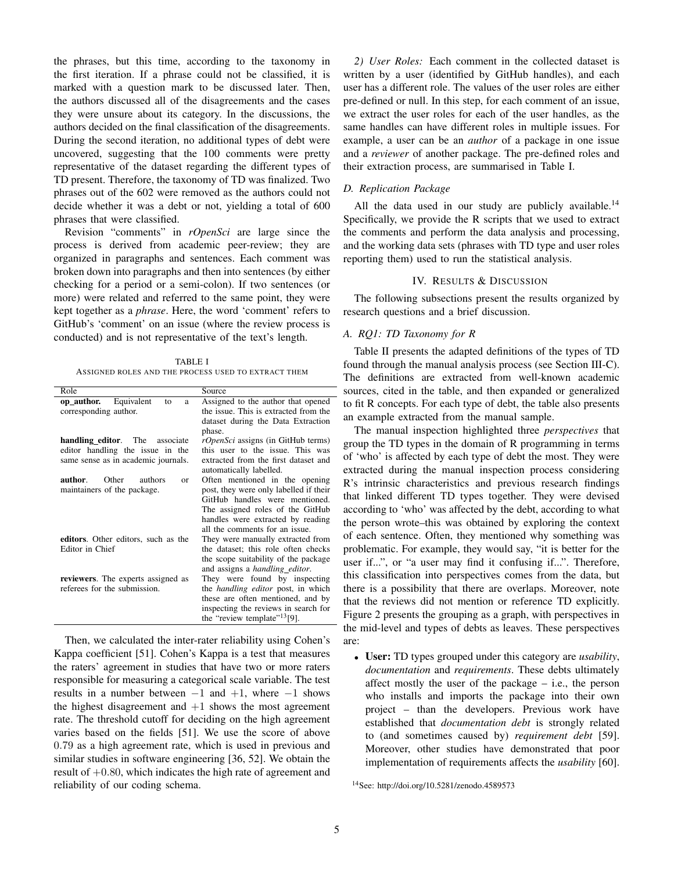the phrases, but this time, according to the taxonomy in the first iteration. If a phrase could not be classified, it is marked with a question mark to be discussed later. Then, the authors discussed all of the disagreements and the cases they were unsure about its category. In the discussions, the authors decided on the final classification of the disagreements. During the second iteration, no additional types of debt were uncovered, suggesting that the 100 comments were pretty representative of the dataset regarding the different types of TD present. Therefore, the taxonomy of TD was finalized. Two phrases out of the 602 were removed as the authors could not decide whether it was a debt or not, yielding a total of 600 phrases that were classified.

Revision "comments" in *rOpenSci* are large since the process is derived from academic peer-review; they are organized in paragraphs and sentences. Each comment was broken down into paragraphs and then into sentences (by either checking for a period or a semi-colon). If two sentences (or more) were related and referred to the same point, they were kept together as a *phrase*. Here, the word 'comment' refers to GitHub's 'comment' on an issue (where the review process is conducted) and is not representative of the text's length.

TABLE I ASSIGNED ROLES AND THE PROCESS USED TO EXTRACT THEM

| Role                                    | Source                                    |
|-----------------------------------------|-------------------------------------------|
| Equivalent<br>op author.<br>to<br>a     | Assigned to the author that opened        |
| corresponding author.                   | the issue. This is extracted from the     |
|                                         | dataset during the Data Extraction        |
|                                         | phase.                                    |
| handling editor. The associate          | <i>rOpenSci</i> assigns (in GitHub terms) |
| editor handling the issue in the        | this user to the issue. This was          |
| same sense as in academic journals.     | extracted from the first dataset and      |
|                                         | automatically labelled.                   |
| author.<br>Other<br>authors<br>$\alpha$ | Often mentioned in the opening            |
| maintainers of the package.             | post, they were only labelled if their    |
|                                         | GitHub handles were mentioned.            |
|                                         | The assigned roles of the GitHub          |
|                                         | handles were extracted by reading         |
|                                         | all the comments for an issue.            |
| editors. Other editors, such as the     | They were manually extracted from         |
| Editor in Chief                         | the dataset; this role often checks       |
|                                         | the scope suitability of the package      |
|                                         | and assigns a <i>handling_editor</i> .    |
| reviewers. The experts assigned as      | They were found by inspecting             |
| referees for the submission.            | the <i>handling editor</i> post, in which |
|                                         | these are often mentioned, and by         |
|                                         | inspecting the reviews in search for      |
|                                         | the "review template" <sup>13</sup> [9].  |

Then, we calculated the inter-rater reliability using Cohen's Kappa coefficient [51]. Cohen's Kappa is a test that measures the raters' agreement in studies that have two or more raters responsible for measuring a categorical scale variable. The test results in a number between  $-1$  and  $+1$ , where  $-1$  shows the highest disagreement and  $+1$  shows the most agreement rate. The threshold cutoff for deciding on the high agreement varies based on the fields [51]. We use the score of above 0.79 as a high agreement rate, which is used in previous and similar studies in software engineering [36, 52]. We obtain the result of  $+0.80$ , which indicates the high rate of agreement and reliability of our coding schema.

*2) User Roles:* Each comment in the collected dataset is written by a user (identified by GitHub handles), and each user has a different role. The values of the user roles are either pre-defined or null. In this step, for each comment of an issue, we extract the user roles for each of the user handles, as the same handles can have different roles in multiple issues. For example, a user can be an *author* of a package in one issue and a *reviewer* of another package. The pre-defined roles and their extraction process, are summarised in Table I.

## *D. Replication Package*

All the data used in our study are publicly available.<sup>14</sup> Specifically, we provide the R scripts that we used to extract the comments and perform the data analysis and processing, and the working data sets (phrases with TD type and user roles reporting them) used to run the statistical analysis.

# IV. RESULTS & DISCUSSION

The following subsections present the results organized by research questions and a brief discussion.

# *A. RQ1: TD Taxonomy for R*

Table II presents the adapted definitions of the types of TD found through the manual analysis process (see Section III-C). The definitions are extracted from well-known academic sources, cited in the table, and then expanded or generalized to fit R concepts. For each type of debt, the table also presents an example extracted from the manual sample.

The manual inspection highlighted three *perspectives* that group the TD types in the domain of R programming in terms of 'who' is affected by each type of debt the most. They were extracted during the manual inspection process considering R's intrinsic characteristics and previous research findings that linked different TD types together. They were devised according to 'who' was affected by the debt, according to what the person wrote–this was obtained by exploring the context of each sentence. Often, they mentioned why something was problematic. For example, they would say, "it is better for the user if...", or "a user may find it confusing if...". Therefore, this classification into perspectives comes from the data, but there is a possibility that there are overlaps. Moreover, note that the reviews did not mention or reference TD explicitly. Figure 2 presents the grouping as a graph, with perspectives in the mid-level and types of debts as leaves. These perspectives are:

• User: TD types grouped under this category are *usability*, *documentation* and *requirements*. These debts ultimately affect mostly the user of the package – i.e., the person who installs and imports the package into their own project – than the developers. Previous work have established that *documentation debt* is strongly related to (and sometimes caused by) *requirement debt* [59]. Moreover, other studies have demonstrated that poor implementation of requirements affects the *usability* [60].

<sup>14</sup>See: http://doi.org/10.5281/zenodo.4589573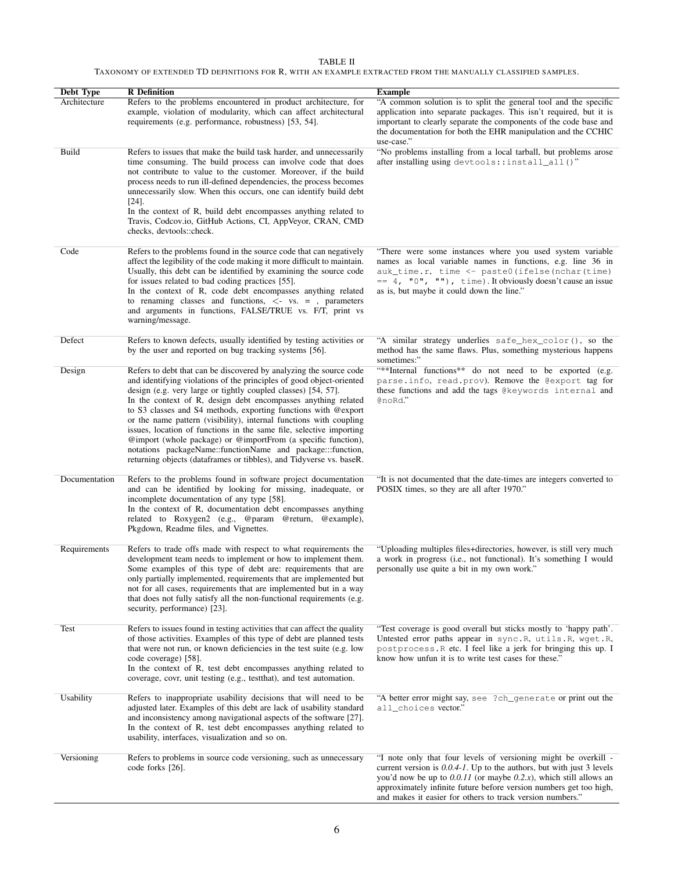### TABLE II TAXONOMY OF EXTENDED TD DEFINITIONS FOR R, WITH AN EXAMPLE EXTRACTED FROM THE MANUALLY CLASSIFIED SAMPLES.

| Debt Type     | <b>R</b> Definition                                                                                                                                                                                                                                                                                                                                                                                                                                                                                                                                                                                                                                                                                | <b>Example</b>                                                                                                                                                                                                                                                                                                                                           |
|---------------|----------------------------------------------------------------------------------------------------------------------------------------------------------------------------------------------------------------------------------------------------------------------------------------------------------------------------------------------------------------------------------------------------------------------------------------------------------------------------------------------------------------------------------------------------------------------------------------------------------------------------------------------------------------------------------------------------|----------------------------------------------------------------------------------------------------------------------------------------------------------------------------------------------------------------------------------------------------------------------------------------------------------------------------------------------------------|
| Architecture  | Refers to the problems encountered in product architecture, for<br>example, violation of modularity, which can affect architectural<br>requirements (e.g. performance, robustness) [53, 54].                                                                                                                                                                                                                                                                                                                                                                                                                                                                                                       | "A common solution is to split the general tool and the specific<br>application into separate packages. This isn't required, but it is<br>important to clearly separate the components of the code base and<br>the documentation for both the EHR manipulation and the CCHIC<br>use-case."                                                               |
| Build         | Refers to issues that make the build task harder, and unnecessarily<br>time consuming. The build process can involve code that does<br>not contribute to value to the customer. Moreover, if the build<br>process needs to run ill-defined dependencies, the process becomes<br>unnecessarily slow. When this occurs, one can identify build debt<br>$[24]$ .<br>In the context of R, build debt encompasses anything related to<br>Travis, Codcov.io, GitHub Actions, CI, AppVeyor, CRAN, CMD<br>checks, devtools::check.                                                                                                                                                                         | "No problems installing from a local tarball, but problems arose<br>after installing using devtools::install_all()"                                                                                                                                                                                                                                      |
| Code          | Refers to the problems found in the source code that can negatively<br>affect the legibility of the code making it more difficult to maintain.<br>Usually, this debt can be identified by examining the source code<br>for issues related to bad coding practices [55].<br>In the context of R, code debt encompasses anything related<br>to renaming classes and functions, $\lt$ - vs. = , parameters<br>and arguments in functions, FALSE/TRUE vs. F/T, print vs.<br>warning/message.                                                                                                                                                                                                           | "There were some instances where you used system variable<br>names as local variable names in functions, e.g. line 36 in<br>auk_time.r, time <- paste0(ifelse(nchar(time)<br>$= 4, 70$ , $\pi$ , $\pi$ ), time). It obviously doesn't cause an issue<br>as is, but maybe it could down the line."                                                        |
| Defect        | Refers to known defects, usually identified by testing activities or<br>by the user and reported on bug tracking systems [56].                                                                                                                                                                                                                                                                                                                                                                                                                                                                                                                                                                     | "A similar strategy underlies safe_hex_color(), so the<br>method has the same flaws. Plus, something mysterious happens<br>sometimes:"                                                                                                                                                                                                                   |
| Design        | Refers to debt that can be discovered by analyzing the source code<br>and identifying violations of the principles of good object-oriented<br>design (e.g. very large or tightly coupled classes) [54, 57].<br>In the context of R, design debt encompasses anything related<br>to S3 classes and S4 methods, exporting functions with @export<br>or the name pattern (visibility), internal functions with coupling<br>issues, location of functions in the same file, selective importing<br>@import (whole package) or @importFrom (a specific function),<br>notations packageName::functionName and package:::function,<br>returning objects (dataframes or tibbles), and Tidyverse vs. baseR. | "**Internal functions** do not need to be exported (e.g.<br>parse.info, read.prov). Remove the @export tag for<br>these functions and add the tags @keywords internal and<br>@noRd."                                                                                                                                                                     |
| Documentation | Refers to the problems found in software project documentation<br>and can be identified by looking for missing, inadequate, or<br>incomplete documentation of any type [58].<br>In the context of R, documentation debt encompasses anything<br>related to Roxygen2 (e.g., @param @return, @example),<br>Pkgdown, Readme files, and Vignettes.                                                                                                                                                                                                                                                                                                                                                     | "It is not documented that the date-times are integers converted to<br>POSIX times, so they are all after 1970."                                                                                                                                                                                                                                         |
| Requirements  | Refers to trade offs made with respect to what requirements the<br>development team needs to implement or how to implement them.<br>Some examples of this type of debt are: requirements that are<br>only partially implemented, requirements that are implemented but<br>not for all cases, requirements that are implemented but in a way<br>that does not fully satisfy all the non-functional requirements (e.g.<br>security, performance) [23].                                                                                                                                                                                                                                               | "Uploading multiples files+directories, however, is still very much<br>a work in progress (i.e., not functional). It's something I would<br>personally use quite a bit in my own work."                                                                                                                                                                  |
| Test          | Refers to issues found in testing activities that can affect the quality<br>of those activities. Examples of this type of debt are planned tests<br>that were not run, or known deficiencies in the test suite (e.g. low<br>code coverage) [58].<br>In the context of R, test debt encompasses anything related to<br>coverage, covr, unit testing (e.g., test that), and test automation.                                                                                                                                                                                                                                                                                                         | "Test coverage is good overall but sticks mostly to 'happy path'.<br>Untested error paths appear in sync.R, utils.R, wget.R,<br>postprocess. R etc. I feel like a jerk for bringing this up. I<br>know how unfun it is to write test cases for these."                                                                                                   |
| Usability     | Refers to inappropriate usability decisions that will need to be<br>adjusted later. Examples of this debt are lack of usability standard<br>and inconsistency among navigational aspects of the software [27].<br>In the context of R, test debt encompasses anything related to<br>usability, interfaces, visualization and so on.                                                                                                                                                                                                                                                                                                                                                                | "A better error might say, see ?ch_generate or print out the<br>all choices vector."                                                                                                                                                                                                                                                                     |
| Versioning    | Refers to problems in source code versioning, such as unnecessary<br>code forks [26].                                                                                                                                                                                                                                                                                                                                                                                                                                                                                                                                                                                                              | "I note only that four levels of versioning might be overkill -<br>current version is $0.0.4$ -1. Up to the authors, but with just 3 levels<br>you'd now be up to $0.0.11$ (or maybe $0.2.x$ ), which still allows an<br>approximately infinite future before version numbers get too high,<br>and makes it easier for others to track version numbers." |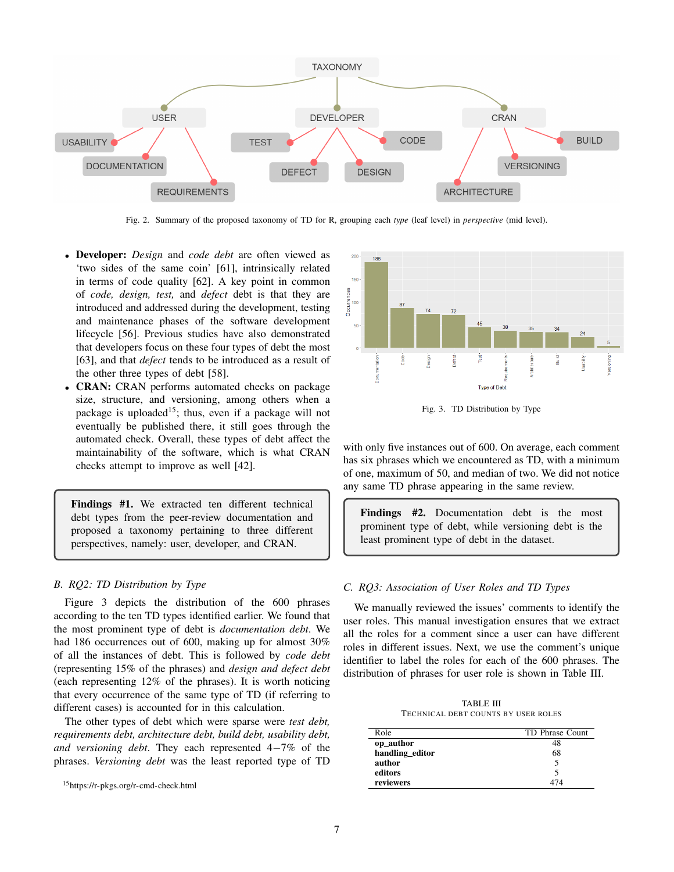

Fig. 2. Summary of the proposed taxonomy of TD for R, grouping each *type* (leaf level) in *perspective* (mid level).

- Developer: *Design* and *code debt* are often viewed as 'two sides of the same coin' [61], intrinsically related in terms of code quality [62]. A key point in common of *code, design, test,* and *defect* debt is that they are introduced and addressed during the development, testing and maintenance phases of the software development lifecycle [56]. Previous studies have also demonstrated that developers focus on these four types of debt the most [63], and that *defect* tends to be introduced as a result of the other three types of debt [58].
- CRAN: CRAN performs automated checks on package size, structure, and versioning, among others when a package is uploaded<sup>15</sup>; thus, even if a package will not eventually be published there, it still goes through the automated check. Overall, these types of debt affect the maintainability of the software, which is what CRAN checks attempt to improve as well [42].

Findings #1. We extracted ten different technical debt types from the peer-review documentation and proposed a taxonomy pertaining to three different perspectives, namely: user, developer, and CRAN.

## *B. RQ2: TD Distribution by Type*

Figure 3 depicts the distribution of the 600 phrases according to the ten TD types identified earlier. We found that the most prominent type of debt is *documentation debt*. We had 186 occurrences out of 600, making up for almost 30% of all the instances of debt. This is followed by *code debt* (representing 15% of the phrases) and *design and defect debt* (each representing 12% of the phrases). It is worth noticing that every occurrence of the same type of TD (if referring to different cases) is accounted for in this calculation.

The other types of debt which were sparse were *test debt, requirements debt, architecture debt, build debt, usability debt, and versioning debt*. They each represented 4−7% of the phrases. *Versioning debt* was the least reported type of TD



Fig. 3. TD Distribution by Type

with only five instances out of 600. On average, each comment has six phrases which we encountered as TD, with a minimum of one, maximum of 50, and median of two. We did not notice any same TD phrase appearing in the same review.

Findings #2. Documentation debt is the most prominent type of debt, while versioning debt is the least prominent type of debt in the dataset.

## *C. RQ3: Association of User Roles and TD Types*

We manually reviewed the issues' comments to identify the user roles. This manual investigation ensures that we extract all the roles for a comment since a user can have different roles in different issues. Next, we use the comment's unique identifier to label the roles for each of the 600 phrases. The distribution of phrases for user role is shown in Table III.

TABLE III TECHNICAL DEBT COUNTS BY USER ROLES

| Role            | TD Phrase Count |
|-----------------|-----------------|
| op_author       | 48              |
| handling_editor | 68              |
| author          |                 |
| editors         |                 |
| reviewers       |                 |

<sup>15</sup>https://r-pkgs.org/r-cmd-check.html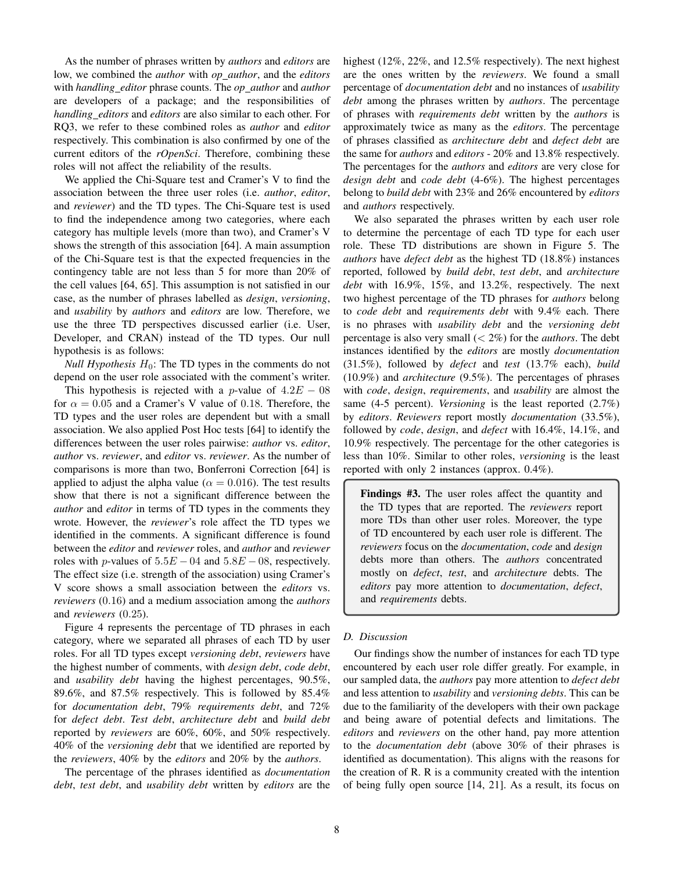As the number of phrases written by *authors* and *editors* are low, we combined the *author* with *op author*, and the *editors* with *handling editor* phrase counts. The *op author* and *author* are developers of a package; and the responsibilities of *handling editors* and *editors* are also similar to each other. For RQ3, we refer to these combined roles as *author* and *editor* respectively. This combination is also confirmed by one of the current editors of the *rOpenSci*. Therefore, combining these roles will not affect the reliability of the results.

We applied the Chi-Square test and Cramer's V to find the association between the three user roles (i.e. *author*, *editor*, and *reviewer*) and the TD types. The Chi-Square test is used to find the independence among two categories, where each category has multiple levels (more than two), and Cramer's V shows the strength of this association [64]. A main assumption of the Chi-Square test is that the expected frequencies in the contingency table are not less than 5 for more than 20% of the cell values [64, 65]. This assumption is not satisfied in our case, as the number of phrases labelled as *design*, *versioning*, and *usability* by *authors* and *editors* are low. Therefore, we use the three TD perspectives discussed earlier (i.e. User, Developer, and CRAN) instead of the TD types. Our null hypothesis is as follows:

*Null Hypothesis*  $H_0$ : The TD types in the comments do not depend on the user role associated with the comment's writer.

This hypothesis is rejected with a p-value of  $4.2E - 08$ for  $\alpha = 0.05$  and a Cramer's V value of 0.18. Therefore, the TD types and the user roles are dependent but with a small association. We also applied Post Hoc tests [64] to identify the differences between the user roles pairwise: *author* vs. *editor*, *author* vs. *reviewer*, and *editor* vs. *reviewer*. As the number of comparisons is more than two, Bonferroni Correction [64] is applied to adjust the alpha value ( $\alpha = 0.016$ ). The test results show that there is not a significant difference between the *author* and *editor* in terms of TD types in the comments they wrote. However, the *reviewer*'s role affect the TD types we identified in the comments. A significant difference is found between the *editor* and *reviewer* roles, and *author* and *reviewer* roles with *p*-values of  $5.5E - 04$  and  $5.8E - 08$ , respectively. The effect size (i.e. strength of the association) using Cramer's V score shows a small association between the *editors* vs. *reviewers* (0.16) and a medium association among the *authors* and *reviewers* (0.25).

Figure 4 represents the percentage of TD phrases in each category, where we separated all phrases of each TD by user roles. For all TD types except *versioning debt*, *reviewers* have the highest number of comments, with *design debt*, *code debt*, and *usability debt* having the highest percentages, 90.5%, 89.6%, and 87.5% respectively. This is followed by 85.4% for *documentation debt*, 79% *requirements debt*, and 72% for *defect debt*. *Test debt*, *architecture debt* and *build debt* reported by *reviewers* are 60%, 60%, and 50% respectively. 40% of the *versioning debt* that we identified are reported by the *reviewers*, 40% by the *editors* and 20% by the *authors*.

The percentage of the phrases identified as *documentation debt*, *test debt*, and *usability debt* written by *editors* are the highest (12%, 22%, and 12.5% respectively). The next highest are the ones written by the *reviewers*. We found a small percentage of *documentation debt* and no instances of *usability debt* among the phrases written by *authors*. The percentage of phrases with *requirements debt* written by the *authors* is approximately twice as many as the *editors*. The percentage of phrases classified as *architecture debt* and *defect debt* are the same for *authors* and *editors* - 20% and 13.8% respectively. The percentages for the *authors* and *editors* are very close for *design debt* and *code debt* (4-6%). The highest percentages belong to *build debt* with 23% and 26% encountered by *editors* and *authors* respectively.

We also separated the phrases written by each user role to determine the percentage of each TD type for each user role. These TD distributions are shown in Figure 5. The *authors* have *defect debt* as the highest TD (18.8%) instances reported, followed by *build debt*, *test debt*, and *architecture debt* with 16.9%, 15%, and 13.2%, respectively. The next two highest percentage of the TD phrases for *authors* belong to *code debt* and *requirements debt* with 9.4% each. There is no phrases with *usability debt* and the *versioning debt* percentage is also very small (< 2%) for the *authors*. The debt instances identified by the *editors* are mostly *documentation* (31.5%), followed by *defect* and *test* (13.7% each), *build* (10.9%) and *architecture* (9.5%). The percentages of phrases with *code*, *design*, *requirements*, and *usability* are almost the same (4-5 percent). *Versioning* is the least reported (2.7%) by *editors*. *Reviewers* report mostly *documentation* (33.5%), followed by *code*, *design*, and *defect* with 16.4%, 14.1%, and 10.9% respectively. The percentage for the other categories is less than 10%. Similar to other roles, *versioning* is the least reported with only 2 instances (approx. 0.4%).

Findings #3. The user roles affect the quantity and the TD types that are reported. The *reviewers* report more TDs than other user roles. Moreover, the type of TD encountered by each user role is different. The *reviewers* focus on the *documentation*, *code* and *design* debts more than others. The *authors* concentrated mostly on *defect*, *test*, and *architecture* debts. The *editors* pay more attention to *documentation*, *defect*, and *requirements* debts.

# *D. Discussion*

Our findings show the number of instances for each TD type encountered by each user role differ greatly. For example, in our sampled data, the *authors* pay more attention to *defect debt* and less attention to *usability* and *versioning debts*. This can be due to the familiarity of the developers with their own package and being aware of potential defects and limitations. The *editors* and *reviewers* on the other hand, pay more attention to the *documentation debt* (above 30% of their phrases is identified as documentation). This aligns with the reasons for the creation of R. R is a community created with the intention of being fully open source [14, 21]. As a result, its focus on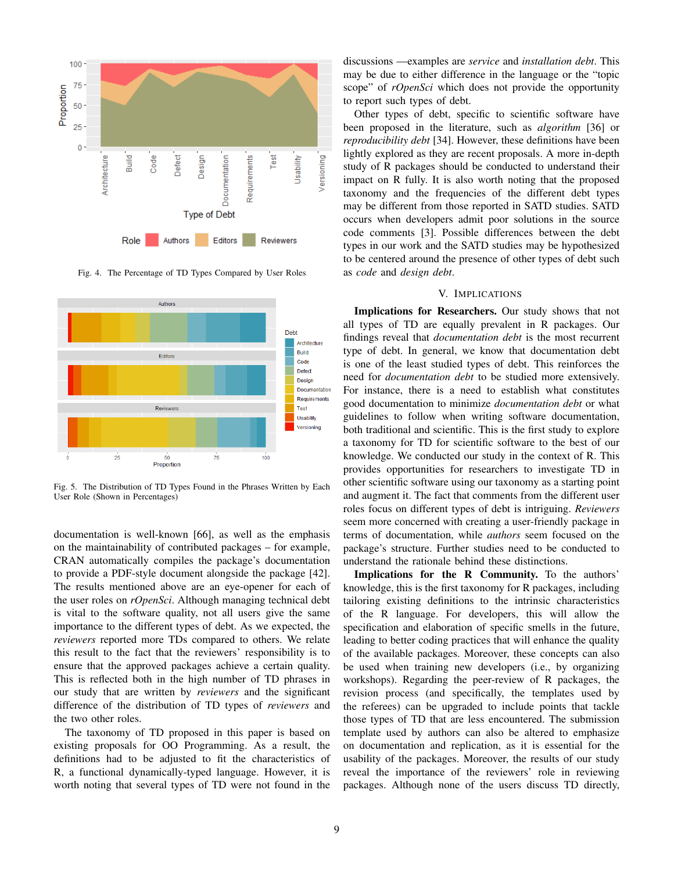

Fig. 4. The Percentage of TD Types Compared by User Roles



Fig. 5. The Distribution of TD Types Found in the Phrases Written by Each User Role (Shown in Percentages)

documentation is well-known [66], as well as the emphasis on the maintainability of contributed packages – for example, CRAN automatically compiles the package's documentation to provide a PDF-style document alongside the package [42]. The results mentioned above are an eye-opener for each of the user roles on *rOpenSci*. Although managing technical debt is vital to the software quality, not all users give the same importance to the different types of debt. As we expected, the *reviewers* reported more TDs compared to others. We relate this result to the fact that the reviewers' responsibility is to ensure that the approved packages achieve a certain quality. This is reflected both in the high number of TD phrases in our study that are written by *reviewers* and the significant difference of the distribution of TD types of *reviewers* and the two other roles.

The taxonomy of TD proposed in this paper is based on existing proposals for OO Programming. As a result, the definitions had to be adjusted to fit the characteristics of R, a functional dynamically-typed language. However, it is worth noting that several types of TD were not found in the

discussions —examples are *service* and *installation debt*. This may be due to either difference in the language or the "topic scope" of *rOpenSci* which does not provide the opportunity to report such types of debt.

Other types of debt, specific to scientific software have been proposed in the literature, such as *algorithm* [36] or *reproducibility debt* [34]. However, these definitions have been lightly explored as they are recent proposals. A more in-depth study of R packages should be conducted to understand their impact on R fully. It is also worth noting that the proposed taxonomy and the frequencies of the different debt types may be different from those reported in SATD studies. SATD occurs when developers admit poor solutions in the source code comments [3]. Possible differences between the debt types in our work and the SATD studies may be hypothesized to be centered around the presence of other types of debt such as *code* and *design debt*.

## V. IMPLICATIONS

Implications for Researchers. Our study shows that not all types of TD are equally prevalent in R packages. Our findings reveal that *documentation debt* is the most recurrent type of debt. In general, we know that documentation debt is one of the least studied types of debt. This reinforces the need for *documentation debt* to be studied more extensively. For instance, there is a need to establish what constitutes good documentation to minimize *documentation debt* or what guidelines to follow when writing software documentation, both traditional and scientific. This is the first study to explore a taxonomy for TD for scientific software to the best of our knowledge. We conducted our study in the context of R. This provides opportunities for researchers to investigate TD in other scientific software using our taxonomy as a starting point and augment it. The fact that comments from the different user roles focus on different types of debt is intriguing. *Reviewers* seem more concerned with creating a user-friendly package in terms of documentation, while *authors* seem focused on the package's structure. Further studies need to be conducted to understand the rationale behind these distinctions.

Implications for the R Community. To the authors' knowledge, this is the first taxonomy for R packages, including tailoring existing definitions to the intrinsic characteristics of the R language. For developers, this will allow the specification and elaboration of specific smells in the future, leading to better coding practices that will enhance the quality of the available packages. Moreover, these concepts can also be used when training new developers (i.e., by organizing workshops). Regarding the peer-review of R packages, the revision process (and specifically, the templates used by the referees) can be upgraded to include points that tackle those types of TD that are less encountered. The submission template used by authors can also be altered to emphasize on documentation and replication, as it is essential for the usability of the packages. Moreover, the results of our study reveal the importance of the reviewers' role in reviewing packages. Although none of the users discuss TD directly,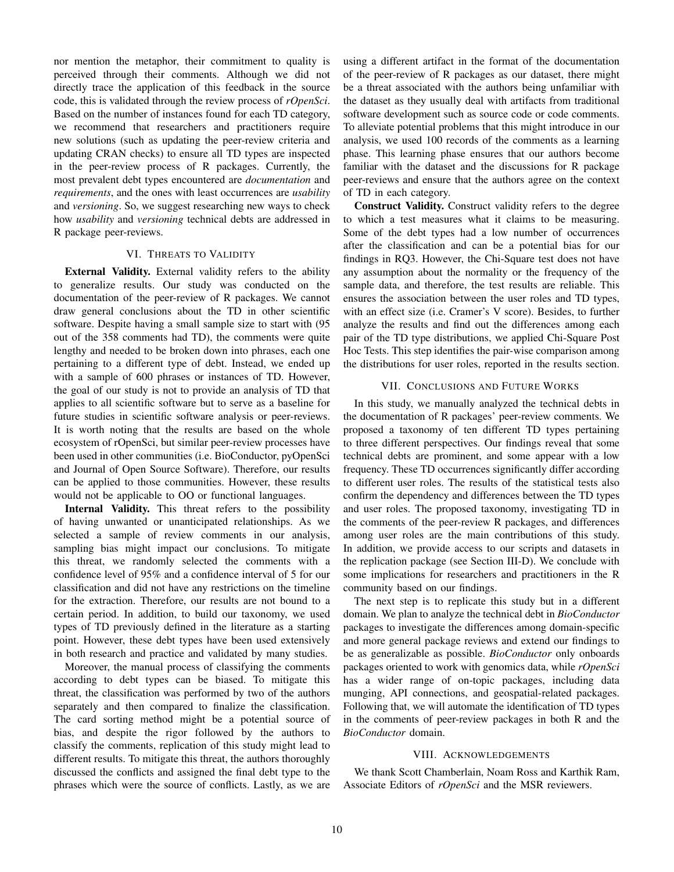nor mention the metaphor, their commitment to quality is perceived through their comments. Although we did not directly trace the application of this feedback in the source code, this is validated through the review process of *rOpenSci*. Based on the number of instances found for each TD category, we recommend that researchers and practitioners require new solutions (such as updating the peer-review criteria and updating CRAN checks) to ensure all TD types are inspected in the peer-review process of R packages. Currently, the most prevalent debt types encountered are *documentation* and *requirements*, and the ones with least occurrences are *usability* and *versioning*. So, we suggest researching new ways to check how *usability* and *versioning* technical debts are addressed in R package peer-reviews.

# VI. THREATS TO VALIDITY

External Validity. External validity refers to the ability to generalize results. Our study was conducted on the documentation of the peer-review of R packages. We cannot draw general conclusions about the TD in other scientific software. Despite having a small sample size to start with (95 out of the 358 comments had TD), the comments were quite lengthy and needed to be broken down into phrases, each one pertaining to a different type of debt. Instead, we ended up with a sample of 600 phrases or instances of TD. However, the goal of our study is not to provide an analysis of TD that applies to all scientific software but to serve as a baseline for future studies in scientific software analysis or peer-reviews. It is worth noting that the results are based on the whole ecosystem of rOpenSci, but similar peer-review processes have been used in other communities (i.e. BioConductor, pyOpenSci and Journal of Open Source Software). Therefore, our results can be applied to those communities. However, these results would not be applicable to OO or functional languages.

Internal Validity. This threat refers to the possibility of having unwanted or unanticipated relationships. As we selected a sample of review comments in our analysis, sampling bias might impact our conclusions. To mitigate this threat, we randomly selected the comments with a confidence level of 95% and a confidence interval of 5 for our classification and did not have any restrictions on the timeline for the extraction. Therefore, our results are not bound to a certain period. In addition, to build our taxonomy, we used types of TD previously defined in the literature as a starting point. However, these debt types have been used extensively in both research and practice and validated by many studies.

Moreover, the manual process of classifying the comments according to debt types can be biased. To mitigate this threat, the classification was performed by two of the authors separately and then compared to finalize the classification. The card sorting method might be a potential source of bias, and despite the rigor followed by the authors to classify the comments, replication of this study might lead to different results. To mitigate this threat, the authors thoroughly discussed the conflicts and assigned the final debt type to the phrases which were the source of conflicts. Lastly, as we are using a different artifact in the format of the documentation of the peer-review of R packages as our dataset, there might be a threat associated with the authors being unfamiliar with the dataset as they usually deal with artifacts from traditional software development such as source code or code comments. To alleviate potential problems that this might introduce in our analysis, we used 100 records of the comments as a learning phase. This learning phase ensures that our authors become familiar with the dataset and the discussions for R package peer-reviews and ensure that the authors agree on the context of TD in each category.

Construct Validity. Construct validity refers to the degree to which a test measures what it claims to be measuring. Some of the debt types had a low number of occurrences after the classification and can be a potential bias for our findings in RQ3. However, the Chi-Square test does not have any assumption about the normality or the frequency of the sample data, and therefore, the test results are reliable. This ensures the association between the user roles and TD types, with an effect size (i.e. Cramer's V score). Besides, to further analyze the results and find out the differences among each pair of the TD type distributions, we applied Chi-Square Post Hoc Tests. This step identifies the pair-wise comparison among the distributions for user roles, reported in the results section.

#### VII. CONCLUSIONS AND FUTURE WORKS

In this study, we manually analyzed the technical debts in the documentation of R packages' peer-review comments. We proposed a taxonomy of ten different TD types pertaining to three different perspectives. Our findings reveal that some technical debts are prominent, and some appear with a low frequency. These TD occurrences significantly differ according to different user roles. The results of the statistical tests also confirm the dependency and differences between the TD types and user roles. The proposed taxonomy, investigating TD in the comments of the peer-review R packages, and differences among user roles are the main contributions of this study. In addition, we provide access to our scripts and datasets in the replication package (see Section III-D). We conclude with some implications for researchers and practitioners in the R community based on our findings.

The next step is to replicate this study but in a different domain. We plan to analyze the technical debt in *BioConductor* packages to investigate the differences among domain-specific and more general package reviews and extend our findings to be as generalizable as possible. *BioConductor* only onboards packages oriented to work with genomics data, while *rOpenSci* has a wider range of on-topic packages, including data munging, API connections, and geospatial-related packages. Following that, we will automate the identification of TD types in the comments of peer-review packages in both R and the *BioConductor* domain.

#### VIII. ACKNOWLEDGEMENTS

We thank Scott Chamberlain, Noam Ross and Karthik Ram, Associate Editors of *rOpenSci* and the MSR reviewers.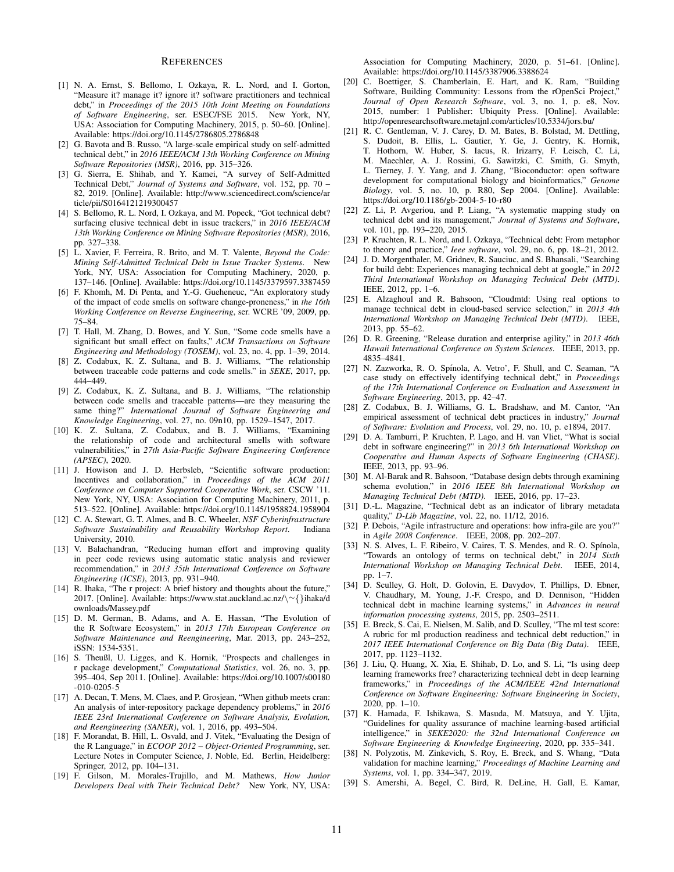#### **REFERENCES**

- [1] N. A. Ernst, S. Bellomo, I. Ozkaya, R. L. Nord, and I. Gorton, "Measure it? manage it? ignore it? software practitioners and technical debt," in *Proceedings of the 2015 10th Joint Meeting on Foundations of Software Engineering*, ser. ESEC/FSE 2015. New York, NY, USA: Association for Computing Machinery, 2015, p. 50–60. [Online]. Available: https://doi.org/10.1145/2786805.2786848
- [2] G. Bavota and B. Russo, "A large-scale empirical study on self-admitted technical debt," in *2016 IEEE/ACM 13th Working Conference on Mining Software Repositories (MSR)*, 2016, pp. 315–326.
- [3] G. Sierra, E. Shihab, and Y. Kamei, "A survey of Self-Admitted Technical Debt," *Journal of Systems and Software*, vol. 152, pp. 70 – 82, 2019. [Online]. Available: http://www.sciencedirect.com/science/ar ticle/pii/S0164121219300457
- [4] S. Bellomo, R. L. Nord, I. Ozkaya, and M. Popeck, "Got technical debt? surfacing elusive technical debt in issue trackers," in *2016 IEEE/ACM 13th Working Conference on Mining Software Repositories (MSR)*, 2016, pp. 327–338.
- [5] L. Xavier, F. Ferreira, R. Brito, and M. T. Valente, *Beyond the Code: Mining Self-Admitted Technical Debt in Issue Tracker Systems*. New York, NY, USA: Association for Computing Machinery, 2020, p. 137–146. [Online]. Available: https://doi.org/10.1145/3379597.3387459
- [6] F. Khomh, M. Di Penta, and Y.-G. Gueheneuc, "An exploratory study of the impact of code smells on software change-proneness," in *the 16th Working Conference on Reverse Engineering*, ser. WCRE '09, 2009, pp. 75–84.
- [7] T. Hall, M. Zhang, D. Bowes, and Y. Sun, "Some code smells have a significant but small effect on faults," *ACM Transactions on Software Engineering and Methodology (TOSEM)*, vol. 23, no. 4, pp. 1–39, 2014.
- [8] Z. Codabux, K. Z. Sultana, and B. J. Williams, "The relationship between traceable code patterns and code smells." in *SEKE*, 2017, pp. 444–449.
- [9] Z. Codabux, K. Z. Sultana, and B. J. Williams, "The relationship between code smells and traceable patterns—are they measuring the same thing?" *International Journal of Software Engineering and Knowledge Engineering*, vol. 27, no. 09n10, pp. 1529–1547, 2017.
- [10] K. Z. Sultana, Z. Codabux, and B. J. Williams, "Examining the relationship of code and architectural smells with software vulnerabilities," in *27th Asia-Pacific Software Engineering Conference (APSEC)*, 2020.
- [11] J. Howison and J. D. Herbsleb, "Scientific software production: Incentives and collaboration," in *Proceedings of the ACM 2011 Conference on Computer Supported Cooperative Work*, ser. CSCW '11. New York, NY, USA: Association for Computing Machinery, 2011, p. 513–522. [Online]. Available: https://doi.org/10.1145/1958824.1958904
- [12] C. A. Stewart, G. T. Almes, and B. C. Wheeler, *NSF Cyberinfrastructure Software Sustainability and Reusability Workshop Report*. Indiana University, 2010.
- [13] V. Balachandran, "Reducing human effort and improving quality in peer code reviews using automatic static analysis and reviewer recommendation," in *2013 35th International Conference on Software Engineering (ICSE)*, 2013, pp. 931–940.
- [14] R. Ihaka, "The r project: A brief history and thoughts about the future," 2017. [Online]. Available: https://www.stat.auckland.ac.nz/\∼{}ihaka/d ownloads/Massey.pdf
- [15] D. M. German, B. Adams, and A. E. Hassan, "The Evolution of the R Software Ecosystem," in *2013 17th European Conference on Software Maintenance and Reengineering*, Mar. 2013, pp. 243–252, iSSN: 1534-5351.
- [16] S. Theußl, U. Ligges, and K. Hornik, "Prospects and challenges in r package development," *Computational Statistics*, vol. 26, no. 3, pp. 395–404, Sep 2011. [Online]. Available: https://doi.org/10.1007/s00180 -010-0205-5
- [17] A. Decan, T. Mens, M. Claes, and P. Grosjean, "When github meets cran: An analysis of inter-repository package dependency problems," in *2016 IEEE 23rd International Conference on Software Analysis, Evolution, and Reengineering (SANER)*, vol. 1, 2016, pp. 493–504.
- [18] F. Morandat, B. Hill, L. Osvald, and J. Vitek, "Evaluating the Design of the R Language," in *ECOOP 2012 – Object-Oriented Programming*, ser. Lecture Notes in Computer Science, J. Noble, Ed. Berlin, Heidelberg: Springer, 2012, pp. 104–131.
- [19] F. Gilson, M. Morales-Trujillo, and M. Mathews, *How Junior Developers Deal with Their Technical Debt?* New York, NY, USA:

Association for Computing Machinery, 2020, p. 51–61. [Online]. Available: https://doi.org/10.1145/3387906.3388624

- [20] C. Boettiger, S. Chamberlain, E. Hart, and K. Ram, "Building Software, Building Community: Lessons from the rOpenSci Project,' *Journal of Open Research Software*, vol. 3, no. 1, p. e8, Nov. 2015, number: 1 Publisher: Ubiquity Press. [Online]. Available: http://openresearchsoftware.metajnl.com/articles/10.5334/jors.bu/
- [21] R. C. Gentleman, V. J. Carey, D. M. Bates, B. Bolstad, M. Dettling, S. Dudoit, B. Ellis, L. Gautier, Y. Ge, J. Gentry, K. Hornik, T. Hothorn, W. Huber, S. Iacus, R. Irizarry, F. Leisch, C. Li, M. Maechler, A. J. Rossini, G. Sawitzki, C. Smith, G. Smyth, L. Tierney, J. Y. Yang, and J. Zhang, "Bioconductor: open software development for computational biology and bioinformatics," *Genome Biology*, vol. 5, no. 10, p. R80, Sep 2004. [Online]. Available: https://doi.org/10.1186/gb-2004-5-10-r80
- [22] Z. Li, P. Avgeriou, and P. Liang, "A systematic mapping study on technical debt and its management," *Journal of Systems and Software*, vol. 101, pp. 193–220, 2015.
- [23] P. Kruchten, R. L. Nord, and I. Ozkaya, "Technical debt: From metaphor to theory and practice," *Ieee software*, vol. 29, no. 6, pp. 18–21, 2012.
- [24] J. D. Morgenthaler, M. Gridnev, R. Sauciuc, and S. Bhansali, "Searching for build debt: Experiences managing technical debt at google," in *2012 Third International Workshop on Managing Technical Debt (MTD)*. IEEE, 2012, pp. 1–6.
- [25] E. Alzaghoul and R. Bahsoon, "Cloudmtd: Using real options to manage technical debt in cloud-based service selection," in *2013 4th International Workshop on Managing Technical Debt (MTD)*. IEEE, 2013, pp. 55–62.
- [26] D. R. Greening, "Release duration and enterprise agility," in *2013 46th Hawaii International Conference on System Sciences*. IEEE, 2013, pp. 4835–4841.
- [27] N. Zazworka, R. O. Spínola, A. Vetro', F. Shull, and C. Seaman, "A case study on effectively identifying technical debt," in *Proceedings of the 17th International Conference on Evaluation and Assessment in Software Engineering*, 2013, pp. 42–47.
- [28] Z. Codabux, B. J. Williams, G. L. Bradshaw, and M. Cantor, "An empirical assessment of technical debt practices in industry," *Journal of Software: Evolution and Process*, vol. 29, no. 10, p. e1894, 2017.
- [29] D. A. Tamburri, P. Kruchten, P. Lago, and H. van Vliet, "What is social debt in software engineering?" in *2013 6th International Workshop on Cooperative and Human Aspects of Software Engineering (CHASE)*. IEEE, 2013, pp. 93–96.
- [30] M. Al-Barak and R. Bahsoon, "Database design debts through examining schema evolution," in *2016 IEEE 8th International Workshop on Managing Technical Debt (MTD)*. IEEE, 2016, pp. 17–23.
- [31] D.-L. Magazine, "Technical debt as an indicator of library metadata quality," *D-Lib Magazine*, vol. 22, no. 11/12, 2016.
- [32] P. Debois, "Agile infrastructure and operations: how infra-gile are you?" in *Agile 2008 Conference*. IEEE, 2008, pp. 202–207.
- [33] N. S. Alves, L. F. Ribeiro, V. Caires, T. S. Mendes, and R. O. Spínola, "Towards an ontology of terms on technical debt," in *2014 Sixth International Workshop on Managing Technical Debt*. IEEE, 2014, pp. 1–7.
- [34] D. Sculley, G. Holt, D. Golovin, E. Davydov, T. Phillips, D. Ebner, V. Chaudhary, M. Young, J.-F. Crespo, and D. Dennison, "Hidden technical debt in machine learning systems," in *Advances in neural information processing systems*, 2015, pp. 2503–2511.
- [35] E. Breck, S. Cai, E. Nielsen, M. Salib, and D. Sculley, "The ml test score: A rubric for ml production readiness and technical debt reduction," in *2017 IEEE International Conference on Big Data (Big Data)*. IEEE, 2017, pp. 1123–1132.
- [36] J. Liu, Q. Huang, X. Xia, E. Shihab, D. Lo, and S. Li, "Is using deep learning frameworks free? characterizing technical debt in deep learning frameworks," in *Proceedings of the ACM/IEEE 42nd International Conference on Software Engineering: Software Engineering in Society*, 2020, pp. 1–10.
- [37] K. Hamada, F. Ishikawa, S. Masuda, M. Matsuya, and Y. Ujita, "Guidelines for quality assurance of machine learning-based artificial intelligence," in *SEKE2020: the 32nd International Conference on Software Engineering & Knowledge Engineering*, 2020, pp. 335–341.
- [38] N. Polyzotis, M. Zinkevich, S. Roy, E. Breck, and S. Whang, "Data validation for machine learning," *Proceedings of Machine Learning and Systems*, vol. 1, pp. 334–347, 2019.
- [39] S. Amershi, A. Begel, C. Bird, R. DeLine, H. Gall, E. Kamar,